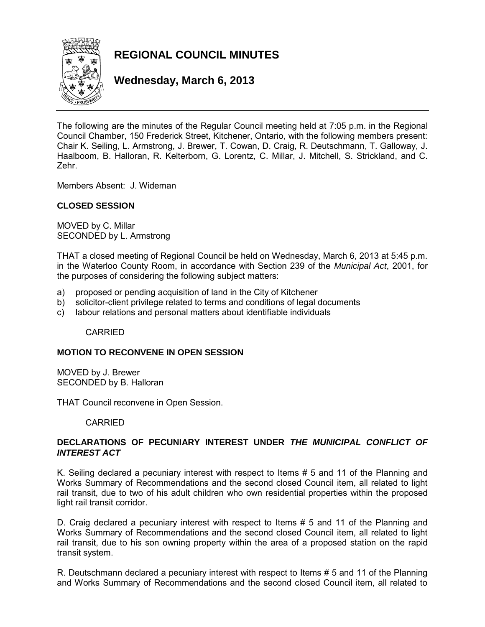

# **REGIONAL COUNCIL MINUTES**

**Wednesday, March 6, 2013** 

The following are the minutes of the Regular Council meeting held at 7:05 p.m. in the Regional Council Chamber, 150 Frederick Street, Kitchener, Ontario, with the following members present: Chair K. Seiling, L. Armstrong, J. Brewer, T. Cowan, D. Craig, R. Deutschmann, T. Galloway, J. Haalboom, B. Halloran, R. Kelterborn, G. Lorentz, C. Millar, J. Mitchell, S. Strickland, and C. Zehr.

Members Absent: J. Wideman

# **CLOSED SESSION**

MOVED by C. Millar SECONDED by L. Armstrong

THAT a closed meeting of Regional Council be held on Wednesday, March 6, 2013 at 5:45 p.m. in the Waterloo County Room, in accordance with Section 239 of the *Municipal Act*, 2001, for the purposes of considering the following subject matters:

- a) proposed or pending acquisition of land in the City of Kitchener
- b) solicitor-client privilege related to terms and conditions of legal documents
- c) labour relations and personal matters about identifiable individuals

CARRIED

### **MOTION TO RECONVENE IN OPEN SESSION**

MOVED by J. Brewer SECONDED by B. Halloran

THAT Council reconvene in Open Session.

### CARRIED

# **DECLARATIONS OF PECUNIARY INTEREST UNDER** *THE MUNICIPAL CONFLICT OF INTEREST ACT*

K. Seiling declared a pecuniary interest with respect to Items # 5 and 11 of the Planning and Works Summary of Recommendations and the second closed Council item, all related to light rail transit, due to two of his adult children who own residential properties within the proposed light rail transit corridor.

D. Craig declared a pecuniary interest with respect to Items # 5 and 11 of the Planning and Works Summary of Recommendations and the second closed Council item, all related to light rail transit, due to his son owning property within the area of a proposed station on the rapid transit system.

R. Deutschmann declared a pecuniary interest with respect to Items # 5 and 11 of the Planning and Works Summary of Recommendations and the second closed Council item, all related to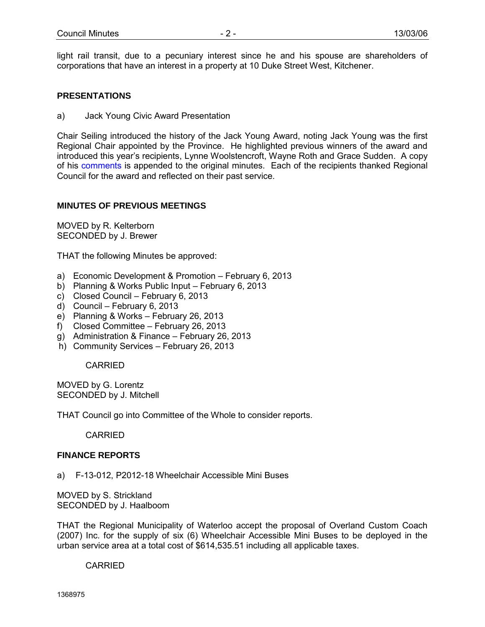light rail transit, due to a pecuniary interest since he and his spouse are shareholders of corporations that have an interest in a property at 10 Duke Street West, Kitchener.

### **PRESENTATIONS**

a) Jack Young Civic Award Presentation

Chair Seiling introduced the history of the Jack Young Award, noting Jack Young was the first Regional Chair appointed by the Province. He highlighted previous winners of the award and introduced this year's recipients, Lynne Woolstencroft, Wayne Roth and Grace Sudden. A copy of his comments is appended to the original minutes. Each of the recipients thanked Regional Council for the award and reflected on their past service.

### **MINUTES OF PREVIOUS MEETINGS**

MOVED by R. Kelterborn SECONDED by J. Brewer

THAT the following Minutes be approved:

- a) Economic Development & Promotion February 6, 2013
- b) Planning & Works Public Input February 6, 2013
- c) Closed Council February 6, 2013
- d) Council February 6, 2013
- e) Planning & Works February 26, 2013
- f) Closed Committee February 26, 2013
- g) Administration & Finance February 26, 2013
- h) Community Services February 26, 2013

CARRIED

MOVED by G. Lorentz SECONDED by J. Mitchell

THAT Council go into Committee of the Whole to consider reports.

**CARRIED** 

# **FINANCE REPORTS**

a) F-13-012, P2012-18 Wheelchair Accessible Mini Buses

MOVED by S. Strickland SECONDED by J. Haalboom

THAT the Regional Municipality of Waterloo accept the proposal of Overland Custom Coach (2007) Inc. for the supply of six (6) Wheelchair Accessible Mini Buses to be deployed in the urban service area at a total cost of \$614,535.51 including all applicable taxes.

CARRIED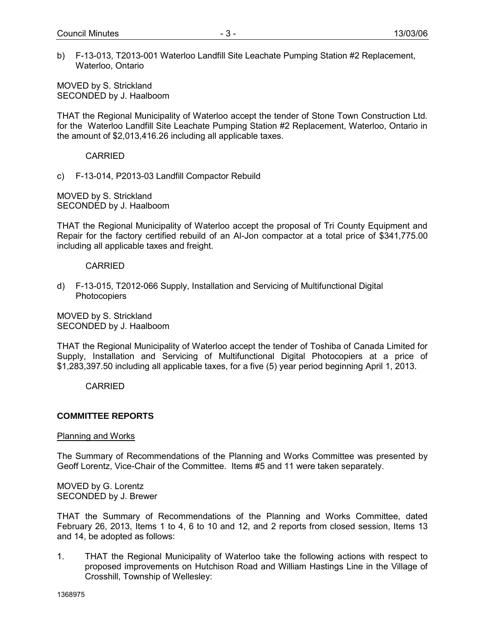b) F-13-013, T2013-001 Waterloo Landfill Site Leachate Pumping Station #2 Replacement, Waterloo, Ontario

MOVED by S. Strickland SECONDED by J. Haalboom

THAT the Regional Municipality of Waterloo accept the tender of Stone Town Construction Ltd. for the Waterloo Landfill Site Leachate Pumping Station #2 Replacement, Waterloo, Ontario in the amount of \$2,013,416.26 including all applicable taxes.

CARRIED

c) F-13-014, P2013-03 Landfill Compactor Rebuild

MOVED by S. Strickland SECONDED by J. Haalboom

THAT the Regional Municipality of Waterloo accept the proposal of Tri County Equipment and Repair for the factory certified rebuild of an Al-Jon compactor at a total price of \$341,775.00 including all applicable taxes and freight.

CARRIED

d) F-13-015, T2012-066 Supply, Installation and Servicing of Multifunctional Digital Photocopiers

MOVED by S. Strickland SECONDED by J. Haalboom

THAT the Regional Municipality of Waterloo accept the tender of Toshiba of Canada Limited for Supply, Installation and Servicing of Multifunctional Digital Photocopiers at a price of \$1,283,397.50 including all applicable taxes, for a five (5) year period beginning April 1, 2013.

CARRIED

# **COMMITTEE REPORTS**

### Planning and Works

The Summary of Recommendations of the Planning and Works Committee was presented by Geoff Lorentz, Vice-Chair of the Committee. Items #5 and 11 were taken separately.

MOVED by G. Lorentz SECONDED by J. Brewer

THAT the Summary of Recommendations of the Planning and Works Committee, dated February 26, 2013, Items 1 to 4, 6 to 10 and 12, and 2 reports from closed session, Items 13 and 14, be adopted as follows:

1. THAT the Regional Municipality of Waterloo take the following actions with respect to proposed improvements on Hutchison Road and William Hastings Line in the Village of Crosshill, Township of Wellesley: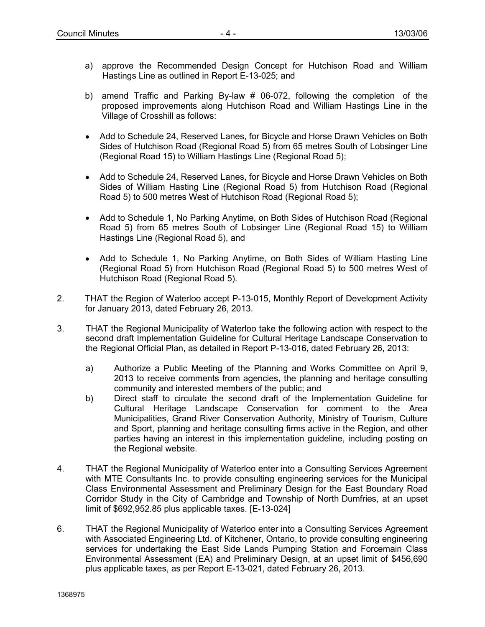- a) approve the Recommended Design Concept for Hutchison Road and William Hastings Line as outlined in Report E-13-025; and
- b) amend Traffic and Parking By-law # 06-072, following the completion of the proposed improvements along Hutchison Road and William Hastings Line in the Village of Crosshill as follows:
- Add to Schedule 24, Reserved Lanes, for Bicycle and Horse Drawn Vehicles on Both Sides of Hutchison Road (Regional Road 5) from 65 metres South of Lobsinger Line (Regional Road 15) to William Hastings Line (Regional Road 5);
- Add to Schedule 24, Reserved Lanes, for Bicycle and Horse Drawn Vehicles on Both Sides of William Hasting Line (Regional Road 5) from Hutchison Road (Regional Road 5) to 500 metres West of Hutchison Road (Regional Road 5);
- Add to Schedule 1, No Parking Anytime, on Both Sides of Hutchison Road (Regional Road 5) from 65 metres South of Lobsinger Line (Regional Road 15) to William Hastings Line (Regional Road 5), and
- Add to Schedule 1, No Parking Anytime, on Both Sides of William Hasting Line (Regional Road 5) from Hutchison Road (Regional Road 5) to 500 metres West of Hutchison Road (Regional Road 5).
- 2. THAT the Region of Waterloo accept P-13-015, Monthly Report of Development Activity for January 2013, dated February 26, 2013.
- 3. THAT the Regional Municipality of Waterloo take the following action with respect to the second draft Implementation Guideline for Cultural Heritage Landscape Conservation to the Regional Official Plan, as detailed in Report P-13-016, dated February 26, 2013:
	- a) Authorize a Public Meeting of the Planning and Works Committee on April 9, 2013 to receive comments from agencies, the planning and heritage consulting community and interested members of the public; and
	- b) Direct staff to circulate the second draft of the Implementation Guideline for Cultural Heritage Landscape Conservation for comment to the Area Municipalities, Grand River Conservation Authority, Ministry of Tourism, Culture and Sport, planning and heritage consulting firms active in the Region, and other parties having an interest in this implementation guideline, including posting on the Regional website.
- 4. THAT the Regional Municipality of Waterloo enter into a Consulting Services Agreement with MTE Consultants Inc. to provide consulting engineering services for the Municipal Class Environmental Assessment and Preliminary Design for the East Boundary Road Corridor Study in the City of Cambridge and Township of North Dumfries, at an upset limit of \$692,952.85 plus applicable taxes. [E-13-024]
- 6. THAT the Regional Municipality of Waterloo enter into a Consulting Services Agreement with Associated Engineering Ltd. of Kitchener, Ontario, to provide consulting engineering services for undertaking the East Side Lands Pumping Station and Forcemain Class Environmental Assessment (EA) and Preliminary Design, at an upset limit of \$456,690 plus applicable taxes, as per Report E-13-021, dated February 26, 2013.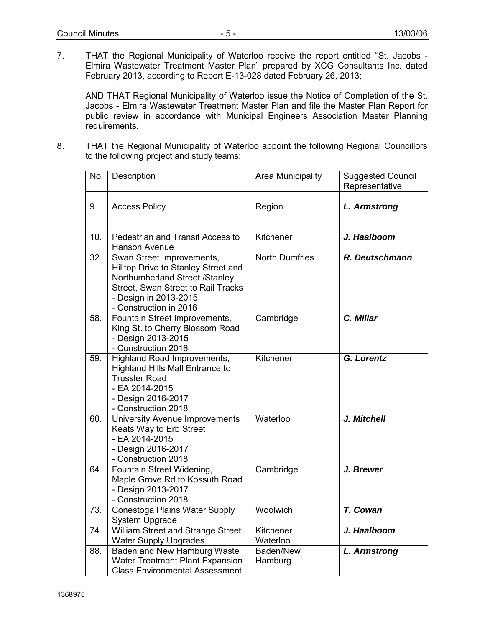7. THAT the Regional Municipality of Waterloo receive the report entitled "St. Jacobs - Elmira Wastewater Treatment Master Plan" prepared by XCG Consultants Inc. dated February 2013, according to Report E-13-028 dated February 26, 2013;

AND THAT Regional Municipality of Waterloo issue the Notice of Completion of the St. Jacobs - Elmira Wastewater Treatment Master Plan and file the Master Plan Report for public review in accordance with Municipal Engineers Association Master Planning requirements.

8. THAT the Regional Municipality of Waterloo appoint the following Regional Councillors to the following project and study teams:

| No. | Description                                                                                                                                                                                 | Area Municipality     | <b>Suggested Council</b><br>Representative |
|-----|---------------------------------------------------------------------------------------------------------------------------------------------------------------------------------------------|-----------------------|--------------------------------------------|
| 9.  | <b>Access Policy</b>                                                                                                                                                                        | Region                | <b>L. Armstrong</b>                        |
| 10. | Pedestrian and Transit Access to<br>Hanson Avenue                                                                                                                                           | Kitchener             | J. Haalboom                                |
| 32. | Swan Street Improvements,<br>Hilltop Drive to Stanley Street and<br>Northumberland Street /Stanley<br>Street, Swan Street to Rail Tracks<br>- Design in 2013-2015<br>- Construction in 2016 | <b>North Dumfries</b> | R. Deutschmann                             |
| 58. | Fountain Street Improvements,<br>King St. to Cherry Blossom Road<br>- Design 2013-2015<br>- Construction 2016                                                                               | Cambridge             | C. Millar                                  |
| 59. | Highland Road Improvements,<br><b>Highland Hills Mall Entrance to</b><br><b>Trussler Road</b><br>- EA 2014-2015<br>- Design 2016-2017<br>- Construction 2018                                | Kitchener             | G. Lorentz                                 |
| 60. | <b>University Avenue Improvements</b><br>Keats Way to Erb Street<br>- EA 2014-2015<br>- Design 2016-2017<br>- Construction 2018                                                             | Waterloo              | J. Mitchell                                |
| 64. | Fountain Street Widening,<br>Maple Grove Rd to Kossuth Road<br>- Design 2013-2017<br>- Construction 2018                                                                                    | Cambridge             | J. Brewer                                  |
| 73. | Conestoga Plains Water Supply<br>System Upgrade                                                                                                                                             | Woolwich              | T. Cowan                                   |
| 74. | William Street and Strange Street<br><b>Water Supply Upgrades</b>                                                                                                                           | Kitchener<br>Waterloo | J. Haalboom                                |
| 88. | Baden and New Hamburg Waste<br>Water Treatment Plant Expansion<br><b>Class Environmental Assessment</b>                                                                                     | Baden/New<br>Hamburg  | <b>L. Armstrong</b>                        |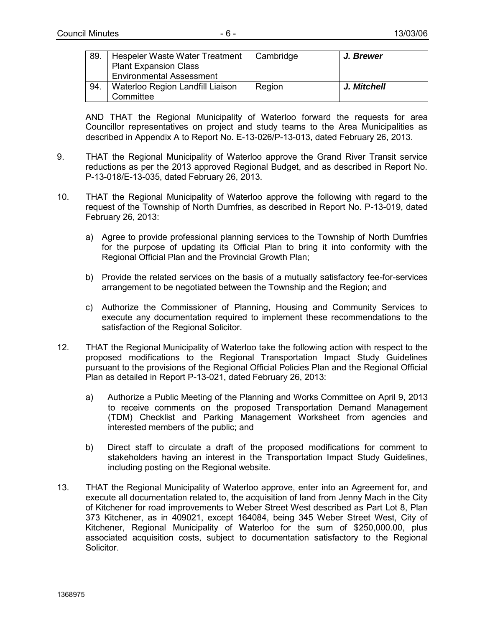| 89. | Hespeler Waste Water Treatment<br><b>Plant Expansion Class</b><br><b>Environmental Assessment</b> | Cambridge | J. Brewer   |
|-----|---------------------------------------------------------------------------------------------------|-----------|-------------|
| 94. | Waterloo Region Landfill Liaison<br>Committee                                                     | Region    | J. Mitchell |

AND THAT the Regional Municipality of Waterloo forward the requests for area Councillor representatives on project and study teams to the Area Municipalities as described in Appendix A to Report No. E-13-026/P-13-013, dated February 26, 2013.

- 9. THAT the Regional Municipality of Waterloo approve the Grand River Transit service reductions as per the 2013 approved Regional Budget, and as described in Report No. P-13-018/E-13-035, dated February 26, 2013.
- 10. THAT the Regional Municipality of Waterloo approve the following with regard to the request of the Township of North Dumfries, as described in Report No. P-13-019, dated February 26, 2013:
	- a) Agree to provide professional planning services to the Township of North Dumfries for the purpose of updating its Official Plan to bring it into conformity with the Regional Official Plan and the Provincial Growth Plan;
	- b) Provide the related services on the basis of a mutually satisfactory fee-for-services arrangement to be negotiated between the Township and the Region; and
	- c) Authorize the Commissioner of Planning, Housing and Community Services to execute any documentation required to implement these recommendations to the satisfaction of the Regional Solicitor.
- 12. THAT the Regional Municipality of Waterloo take the following action with respect to the proposed modifications to the Regional Transportation Impact Study Guidelines pursuant to the provisions of the Regional Official Policies Plan and the Regional Official Plan as detailed in Report P-13-021, dated February 26, 2013:
	- a) Authorize a Public Meeting of the Planning and Works Committee on April 9, 2013 to receive comments on the proposed Transportation Demand Management (TDM) Checklist and Parking Management Worksheet from agencies and interested members of the public; and
	- b) Direct staff to circulate a draft of the proposed modifications for comment to stakeholders having an interest in the Transportation Impact Study Guidelines, including posting on the Regional website.
- 13. THAT the Regional Municipality of Waterloo approve, enter into an Agreement for, and execute all documentation related to, the acquisition of land from Jenny Mach in the City of Kitchener for road improvements to Weber Street West described as Part Lot 8, Plan 373 Kitchener, as in 409021, except 164084, being 345 Weber Street West, City of Kitchener, Regional Municipality of Waterloo for the sum of \$250,000.00, plus associated acquisition costs, subject to documentation satisfactory to the Regional Solicitor.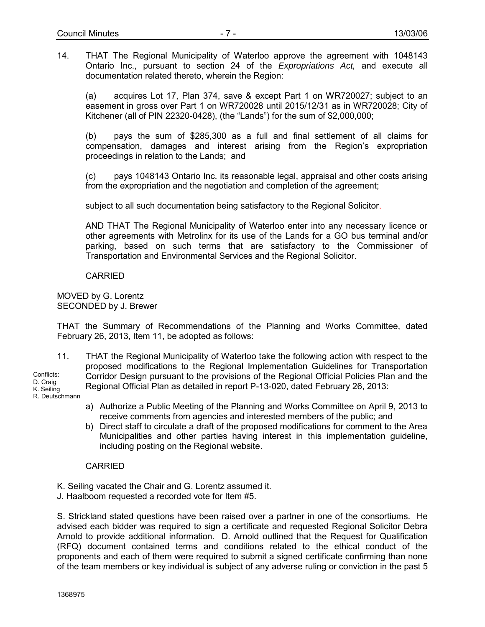14. THAT The Regional Municipality of Waterloo approve the agreement with 1048143 Ontario Inc., pursuant to section 24 of the *Expropriations Act,* and execute all documentation related thereto, wherein the Region:

(a) acquires Lot 17, Plan 374, save & except Part 1 on WR720027; subject to an easement in gross over Part 1 on WR720028 until 2015/12/31 as in WR720028; City of Kitchener (all of PIN 22320-0428), (the "Lands") for the sum of \$2,000,000;

(b) pays the sum of \$285,300 as a full and final settlement of all claims for compensation, damages and interest arising from the Region's expropriation proceedings in relation to the Lands; and

(c) pays 1048143 Ontario Inc. its reasonable legal, appraisal and other costs arising from the expropriation and the negotiation and completion of the agreement;

subject to all such documentation being satisfactory to the Regional Solicitor.

AND THAT The Regional Municipality of Waterloo enter into any necessary licence or other agreements with Metrolinx for its use of the Lands for a GO bus terminal and/or parking, based on such terms that are satisfactory to the Commissioner of Transportation and Environmental Services and the Regional Solicitor.

### CARRIED

MOVED by G. Lorentz SECONDED by J. Brewer

THAT the Summary of Recommendations of the Planning and Works Committee, dated February 26, 2013, Item 11, be adopted as follows:

11. THAT the Regional Municipality of Waterloo take the following action with respect to the proposed modifications to the Regional Implementation Guidelines for Transportation Corridor Design pursuant to the provisions of the Regional Official Policies Plan and the Regional Official Plan as detailed in report P-13-020, dated February 26, 2013: Conflicts: D. Craig

K. Seiling R. Deutschmann

- a) Authorize a Public Meeting of the Planning and Works Committee on April 9, 2013 to receive comments from agencies and interested members of the public; and
- b) Direct staff to circulate a draft of the proposed modifications for comment to the Area Municipalities and other parties having interest in this implementation guideline, including posting on the Regional website.

### CARRIED

K. Seiling vacated the Chair and G. Lorentz assumed it.

J. Haalboom requested a recorded vote for Item #5.

S. Strickland stated questions have been raised over a partner in one of the consortiums. He advised each bidder was required to sign a certificate and requested Regional Solicitor Debra Arnold to provide additional information. D. Arnold outlined that the Request for Qualification (RFQ) document contained terms and conditions related to the ethical conduct of the proponents and each of them were required to submit a signed certificate confirming than none of the team members or key individual is subject of any adverse ruling or conviction in the past 5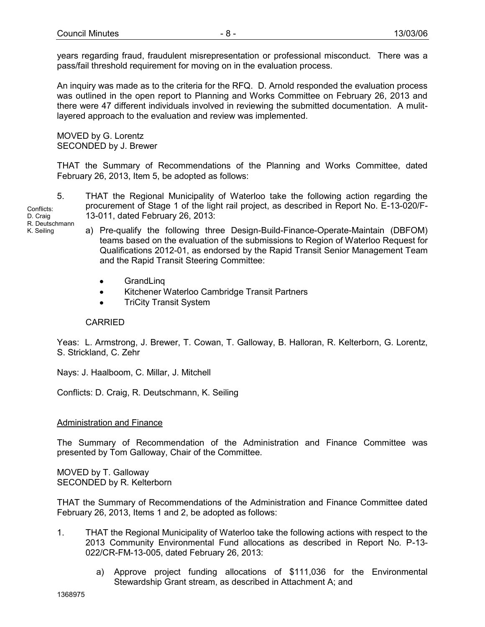years regarding fraud, fraudulent misrepresentation or professional misconduct. There was a pass/fail threshold requirement for moving on in the evaluation process.

An inquiry was made as to the criteria for the RFQ. D. Arnold responded the evaluation process was outlined in the open report to Planning and Works Committee on February 26, 2013 and there were 47 different individuals involved in reviewing the submitted documentation. A mulitlayered approach to the evaluation and review was implemented.

MOVED by G. Lorentz SECONDED by J. Brewer

THAT the Summary of Recommendations of the Planning and Works Committee, dated February 26, 2013, Item 5, be adopted as follows:

5. THAT the Regional Municipality of Waterloo take the following action regarding the procurement of Stage 1 of the light rail project, as described in Report No. E-13-020/F-13-011, dated February 26, 2013:

Conflicts: D. Craig R. Deutschmann K. Seiling

- a) Pre-qualify the following three Design-Build-Finance-Operate-Maintain (DBFOM) teams based on the evaluation of the submissions to Region of Waterloo Request for Qualifications 2012-01, as endorsed by the Rapid Transit Senior Management Team and the Rapid Transit Steering Committee:
	- GrandLing
	- Kitchener Waterloo Cambridge Transit Partners
	- TriCity Transit System

# CARRIED

Yeas: L. Armstrong, J. Brewer, T. Cowan, T. Galloway, B. Halloran, R. Kelterborn, G. Lorentz, S. Strickland, C. Zehr

Nays: J. Haalboom, C. Millar, J. Mitchell

Conflicts: D. Craig, R. Deutschmann, K. Seiling

# Administration and Finance

The Summary of Recommendation of the Administration and Finance Committee was presented by Tom Galloway, Chair of the Committee.

MOVED by T. Galloway SECONDED by R. Kelterborn

THAT the Summary of Recommendations of the Administration and Finance Committee dated February 26, 2013, Items 1 and 2, be adopted as follows:

- 1. THAT the Regional Municipality of Waterloo take the following actions with respect to the 2013 Community Environmental Fund allocations as described in Report No. P-13- 022/CR-FM-13-005, dated February 26, 2013:
	- a) Approve project funding allocations of \$111,036 for the Environmental Stewardship Grant stream, as described in Attachment A; and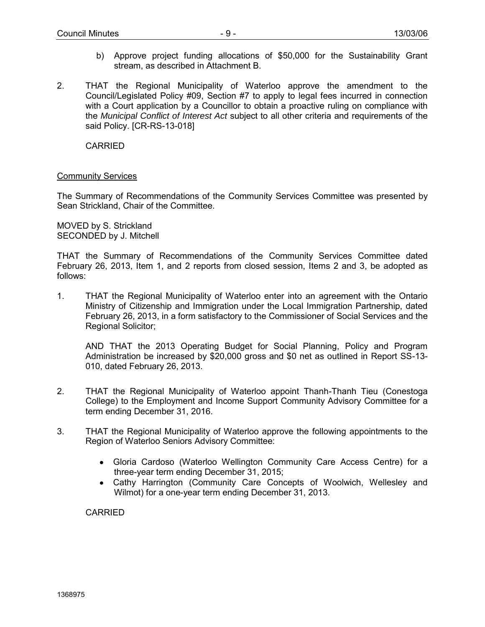- b) Approve project funding allocations of \$50,000 for the Sustainability Grant stream, as described in Attachment B.
- 2. THAT the Regional Municipality of Waterloo approve the amendment to the Council/Legislated Policy #09, Section #7 to apply to legal fees incurred in connection with a Court application by a Councillor to obtain a proactive ruling on compliance with the *Municipal Conflict of Interest Act* subject to all other criteria and requirements of the said Policy. [CR-RS-13-018]

CARRIED

### Community Services

The Summary of Recommendations of the Community Services Committee was presented by Sean Strickland, Chair of the Committee.

MOVED by S. Strickland SECONDED by J. Mitchell

THAT the Summary of Recommendations of the Community Services Committee dated February 26, 2013, Item 1, and 2 reports from closed session, Items 2 and 3, be adopted as follows:

1. THAT the Regional Municipality of Waterloo enter into an agreement with the Ontario Ministry of Citizenship and Immigration under the Local Immigration Partnership, dated February 26, 2013, in a form satisfactory to the Commissioner of Social Services and the Regional Solicitor;

AND THAT the 2013 Operating Budget for Social Planning, Policy and Program Administration be increased by \$20,000 gross and \$0 net as outlined in Report SS-13- 010, dated February 26, 2013.

- 2. THAT the Regional Municipality of Waterloo appoint Thanh-Thanh Tieu (Conestoga College) to the Employment and Income Support Community Advisory Committee for a term ending December 31, 2016.
- 3. THAT the Regional Municipality of Waterloo approve the following appointments to the Region of Waterloo Seniors Advisory Committee:
	- Gloria Cardoso (Waterloo Wellington Community Care Access Centre) for a three-year term ending December 31, 2015;
	- Cathy Harrington (Community Care Concepts of Woolwich, Wellesley and Wilmot) for a one-year term ending December 31, 2013.

CARRIED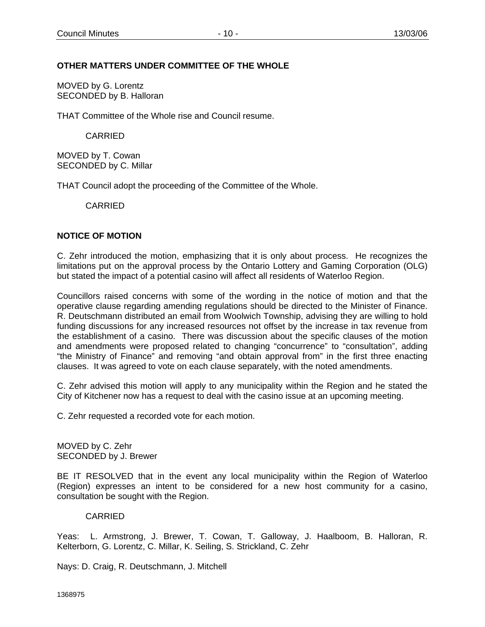# **OTHER MATTERS UNDER COMMITTEE OF THE WHOLE**

MOVED by G. Lorentz SECONDED by B. Halloran

THAT Committee of the Whole rise and Council resume.

CARRIED

MOVED by T. Cowan SECONDED by C. Millar

THAT Council adopt the proceeding of the Committee of the Whole.

CARRIED

# **NOTICE OF MOTION**

C. Zehr introduced the motion, emphasizing that it is only about process. He recognizes the limitations put on the approval process by the Ontario Lottery and Gaming Corporation (OLG) but stated the impact of a potential casino will affect all residents of Waterloo Region.

Councillors raised concerns with some of the wording in the notice of motion and that the operative clause regarding amending regulations should be directed to the Minister of Finance. R. Deutschmann distributed an email from Woolwich Township, advising they are willing to hold funding discussions for any increased resources not offset by the increase in tax revenue from the establishment of a casino. There was discussion about the specific clauses of the motion and amendments were proposed related to changing "concurrence" to "consultation", adding "the Ministry of Finance" and removing "and obtain approval from" in the first three enacting clauses. It was agreed to vote on each clause separately, with the noted amendments.

C. Zehr advised this motion will apply to any municipality within the Region and he stated the City of Kitchener now has a request to deal with the casino issue at an upcoming meeting.

C. Zehr requested a recorded vote for each motion.

MOVED by C. Zehr SECONDED by J. Brewer

BE IT RESOLVED that in the event any local municipality within the Region of Waterloo (Region) expresses an intent to be considered for a new host community for a casino, consultation be sought with the Region.

### CARRIED

Yeas: L. Armstrong, J. Brewer, T. Cowan, T. Galloway, J. Haalboom, B. Halloran, R. Kelterborn, G. Lorentz, C. Millar, K. Seiling, S. Strickland, C. Zehr

Nays: D. Craig, R. Deutschmann, J. Mitchell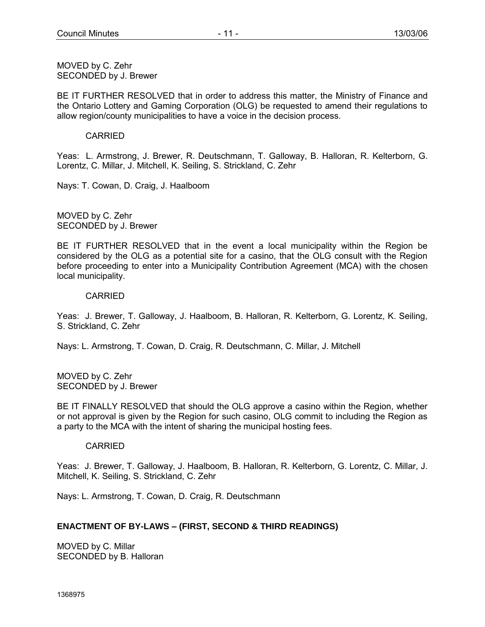MOVED by C. Zehr SECONDED by J. Brewer

BE IT FURTHER RESOLVED that in order to address this matter, the Ministry of Finance and the Ontario Lottery and Gaming Corporation (OLG) be requested to amend their regulations to allow region/county municipalities to have a voice in the decision process.

### CARRIED

Yeas: L. Armstrong, J. Brewer, R. Deutschmann, T. Galloway, B. Halloran, R. Kelterborn, G. Lorentz, C. Millar, J. Mitchell, K. Seiling, S. Strickland, C. Zehr

Nays: T. Cowan, D. Craig, J. Haalboom

MOVED by C. Zehr SECONDED by J. Brewer

BE IT FURTHER RESOLVED that in the event a local municipality within the Region be considered by the OLG as a potential site for a casino, that the OLG consult with the Region before proceeding to enter into a Municipality Contribution Agreement (MCA) with the chosen local municipality.

### CARRIED

Yeas: J. Brewer, T. Galloway, J. Haalboom, B. Halloran, R. Kelterborn, G. Lorentz, K. Seiling, S. Strickland, C. Zehr

Nays: L. Armstrong, T. Cowan, D. Craig, R. Deutschmann, C. Millar, J. Mitchell

MOVED by C. Zehr SECONDED by J. Brewer

BE IT FINALLY RESOLVED that should the OLG approve a casino within the Region, whether or not approval is given by the Region for such casino, OLG commit to including the Region as a party to the MCA with the intent of sharing the municipal hosting fees.

### CARRIED

Yeas: J. Brewer, T. Galloway, J. Haalboom, B. Halloran, R. Kelterborn, G. Lorentz, C. Millar, J. Mitchell, K. Seiling, S. Strickland, C. Zehr

Nays: L. Armstrong, T. Cowan, D. Craig, R. Deutschmann

# **ENACTMENT OF BY-LAWS – (FIRST, SECOND & THIRD READINGS)**

MOVED by C. Millar SECONDED by B. Halloran